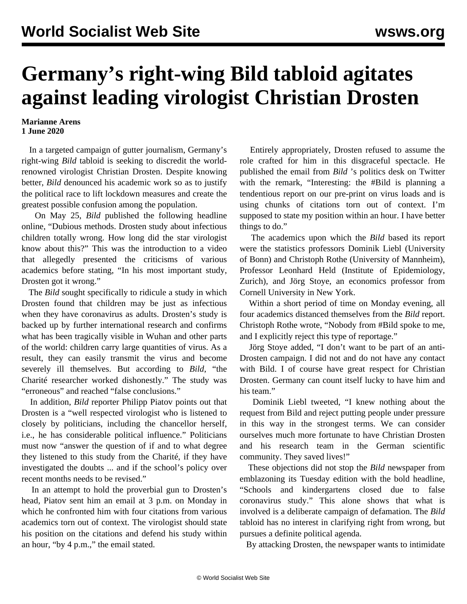## **Germany's right-wing Bild tabloid agitates against leading virologist Christian Drosten**

## **Marianne Arens 1 June 2020**

 In a targeted campaign of gutter journalism, Germany's right-wing *Bild* tabloid is seeking to discredit the worldrenowned virologist Christian Drosten. Despite knowing better, *Bild* denounced his academic work so as to justify the political race to lift lockdown measures and create the greatest possible confusion among the population.

 On May 25, *Bild* published the following headline online, "Dubious methods. Drosten study about infectious children totally wrong. How long did the star virologist know about this?" This was the introduction to a video that allegedly presented the criticisms of various academics before stating, "In his most important study, Drosten got it wrong."

 The *Bild* sought specifically to ridicule a study in which Drosten found that children may be just as infectious when they have coronavirus as adults. Drosten's study is backed up by further international research and confirms what has been tragically visible in Wuhan and other parts of the world: children carry large quantities of virus. As a result, they can easily transmit the virus and become severely ill themselves. But according to *Bild*, "the Charité researcher worked dishonestly." The study was "erroneous" and reached "false conclusions."

 In addition, *Bild* reporter Philipp Piatov points out that Drosten is a "well respected virologist who is listened to closely by politicians, including the chancellor herself, i.e., he has considerable political influence." Politicians must now "answer the question of if and to what degree they listened to this study from the Charité, if they have investigated the doubts ... and if the school's policy over recent months needs to be revised."

 In an attempt to hold the proverbial gun to Drosten's head, Piatov sent him an email at 3 p.m. on Monday in which he confronted him with four citations from various academics torn out of context. The virologist should state his position on the citations and defend his study within an hour, "by 4 p.m.," the email stated.

 Entirely appropriately, Drosten refused to assume the role crafted for him in this disgraceful spectacle. He published the email from *Bild* 's politics desk on Twitter with the remark, "Interesting: the #Bild is planning a tendentious report on our pre-print on virus loads and is using chunks of citations torn out of context. I'm supposed to state my position within an hour. I have better things to do."

 The academics upon which the *Bild* based its report were the statistics professors Dominik Liebl (University of Bonn) and Christoph Rothe (University of Mannheim), Professor Leonhard Held (Institute of Epidemiology, Zurich), and Jörg Stoye, an economics professor from Cornell University in New York.

 Within a short period of time on Monday evening, all four academics distanced themselves from the *Bild* report. Christoph Rothe wrote, "Nobody from #Bild spoke to me, and I explicitly reject this type of reportage."

 Jörg Stoye added, "I don't want to be part of an anti-Drosten campaign. I did not and do not have any contact with Bild. I of course have great respect for Christian Drosten. Germany can count itself lucky to have him and his team."

 Dominik Liebl tweeted, "I knew nothing about the request from Bild and reject putting people under pressure in this way in the strongest terms. We can consider ourselves much more fortunate to have Christian Drosten and his research team in the German scientific community. They saved lives!"

 These objections did not stop the *Bild* newspaper from emblazoning its Tuesday edition with the bold headline, "Schools and kindergartens closed due to false coronavirus study." This alone shows that what is involved is a deliberate campaign of defamation. The *Bild* tabloid has no interest in clarifying right from wrong, but pursues a definite political agenda.

By attacking Drosten, the newspaper wants to intimidate